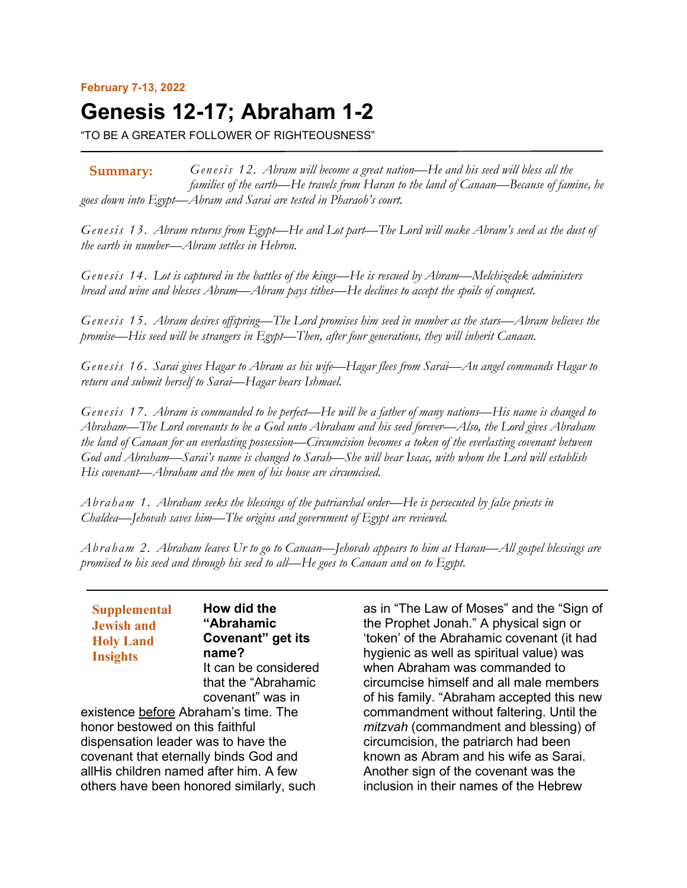## **February 7-13, 2022**

# **Genesis 12-17; Abraham 1-2**

"TO BE A GREATER FOLLOWER OF RIGHTEOUSNESS"

*Genesis 12. Abram will become a great nation—He and his seed will bless all the families of the earth—He travels from Haran to the land of Canaan—Because of famine, he goes down into Egypt—Abram and Sarai are tested in Pharaoh's court.* **Summary:**

*Genesis 13. Abram returns from Egypt—He and Lot part—The Lord will make Abram's seed as the dust of the earth in number—Abram settles in Hebron.*

*Genesis 14. Lot is captured in the battles of the kings—He is rescued by Abram—Melchizedek administers bread and wine and blesses Abram—Abram pays tithes—He declines to accept the spoils of conquest.*

*Genesis 15. Abram desires offspring—The Lord promises him seed in number as the stars—Abram believes the promise—His seed will be strangers in Egypt—Then, after four generations, they will inherit Canaan.*

*Genesis 16. Sarai gives Hagar to Abram as his wife—Hagar flees from Sarai—An angel commands Hagar to return and submit herself to Sarai—Hagar bears Ishmael.*

*Genesis 17. Abram is commanded to be perfect—He will be a father of many nations—His name is changed to Abraham—The Lord covenants to be a God unto Abraham and his seed forever—Also, the Lord gives Abraham the land of Canaan for an everlasting possession—Circumcision becomes a token of the everlasting covenant between God and Abraham—Sarai's name is changed to Sarah—She will bear Isaac, with whom the Lord will establish His covenant—Abraham and the men of his house are circumcised.*

*Abraham 1. Abraham seeks the blessings of the patriarchal order—He is persecuted by false priests in Chaldea—Jehovah saves him—The origins and government of Egypt are reviewed.*

*Abraham 2. Abraham leaves Ur to go to Canaan—Jehovah appears to him at Haran—All gospel blessings are promised to his seed and through his seed to all—He goes to Canaan and on to Egypt.*

**Supplemental Jewish and Holy Land Insights**

**How did the "Abrahamic Covenant" get its name?** It can be considered that the "Abrahamic covenant" was in

existence before Abraham's time. The honor bestowed on this faithful dispensation leader was to have the covenant that eternally binds God and allHis children named after him. A few others have been honored similarly, such

as in "The Law of Moses" and the "Sign of the Prophet Jonah." A physical sign or 'token' of the Abrahamic covenant (it had hygienic as well as spiritual value) was when Abraham was commanded to circumcise himself and all male members of his family. "Abraham accepted this new commandment without faltering. Until the *mitzvah* (commandment and blessing) of circumcision, the patriarch had been known as Abram and his wife as Sarai. Another sign of the covenant was the inclusion in their names of the Hebrew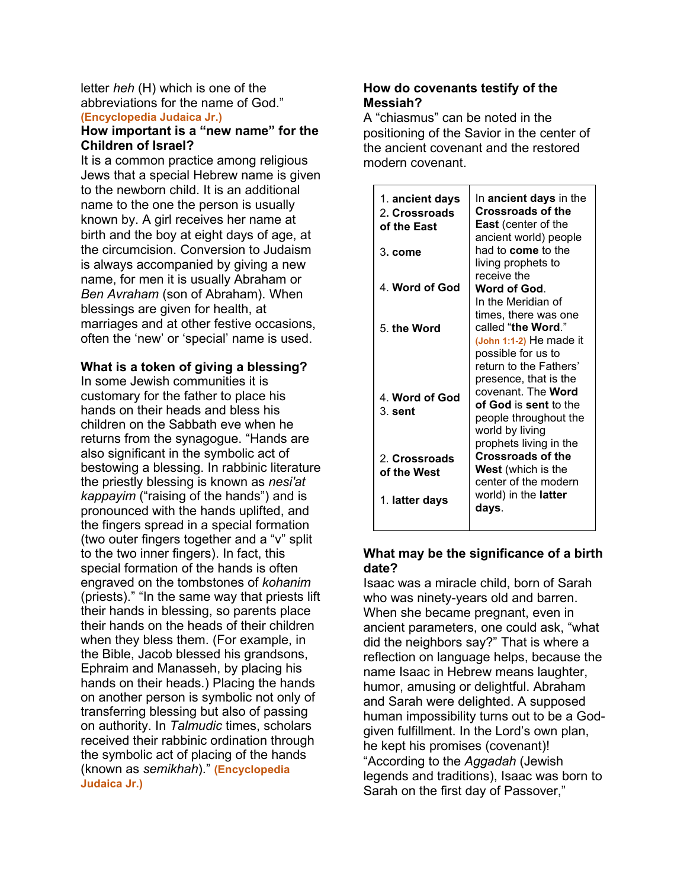#### letter *heh* (H) which is one of the abbreviations for the name of God." **(Encyclopedia Judaica Jr.)**

# **How important is a "new name" for the Children of Israel?**

It is a common practice among religious Jews that a special Hebrew name is given to the newborn child. It is an additional name to the one the person is usually known by. A girl receives her name at birth and the boy at eight days of age, at the circumcision. Conversion to Judaism is always accompanied by giving a new name, for men it is usually Abraham or *Ben Avraham* (son of Abraham). When blessings are given for health, at marriages and at other festive occasions, often the 'new' or 'special' name is used.

# **What is a token of giving a blessing?**

In some Jewish communities it is customary for the father to place his hands on their heads and bless his children on the Sabbath eve when he returns from the synagogue. "Hands are also significant in the symbolic act of bestowing a blessing. In rabbinic literature the priestly blessing is known as *nesi'at kappayim* ("raising of the hands") and is pronounced with the hands uplifted, and the fingers spread in a special formation (two outer fingers together and a "v" split to the two inner fingers). In fact, this special formation of the hands is often engraved on the tombstones of *kohanim* (priests)." "In the same way that priests lift their hands in blessing, so parents place their hands on the heads of their children when they bless them. (For example, in the Bible, Jacob blessed his grandsons, Ephraim and Manasseh, by placing his hands on their heads.) Placing the hands on another person is symbolic not only of transferring blessing but also of passing on authority. In *Talmudic* times, scholars received their rabbinic ordination through the symbolic act of placing of the hands (known as *semikhah*)." **(Encyclopedia Judaica Jr.)**

# **How do covenants testify of the Messiah?**

A "chiasmus" can be noted in the positioning of the Savior in the center of the ancient covenant and the restored modern covenant.

| 1. ancient days<br>2. Crossroads<br>of the East | In <b>ancient days</b> in the<br><b>Crossroads of the</b><br><b>East</b> (center of the<br>ancient world) people<br>had to <b>come</b> to the    |
|-------------------------------------------------|--------------------------------------------------------------------------------------------------------------------------------------------------|
| 3. come                                         | living prophets to<br>receive the                                                                                                                |
| 4. Word of God                                  | Word of God.<br>In the Meridian of<br>times, there was one                                                                                       |
| 5. the Word                                     | called "the Word."<br>(John 1:1-2) He made it<br>possible for us to<br>return to the Fathers'                                                    |
| 4. Word of God<br>$3.$ sent                     | presence, that is the<br>covenant The <b>Word</b><br>of God is sent to the<br>people throughout the<br>world by living<br>prophets living in the |
| 2. Crossroads<br>of the West                    | <b>Crossroads of the</b><br><b>West</b> (which is the<br>center of the modern                                                                    |
| 1. latter days                                  | world) in the <b>latter</b><br>days.                                                                                                             |

# **What may be the significance of a birth date?**

Isaac was a miracle child, born of Sarah who was ninety-years old and barren. When she became pregnant, even in ancient parameters, one could ask, "what did the neighbors say?" That is where a reflection on language helps, because the name Isaac in Hebrew means laughter, humor, amusing or delightful. Abraham and Sarah were delighted. A supposed human impossibility turns out to be a Godgiven fulfillment. In the Lord's own plan, he kept his promises (covenant)! "According to the *Aggadah* (Jewish legends and traditions), Isaac was born to Sarah on the first day of Passover,"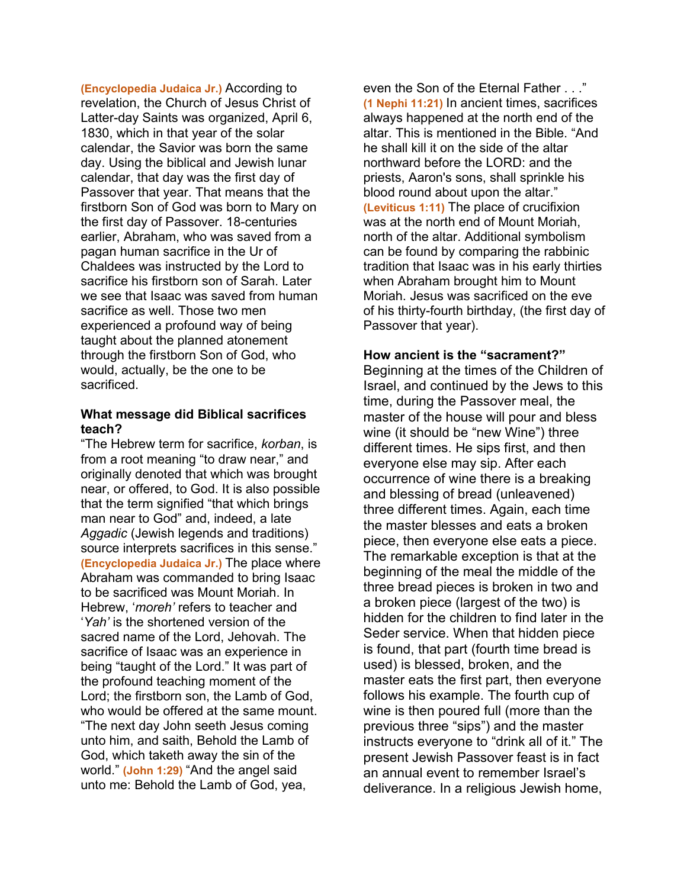**(Encyclopedia Judaica Jr.)** According to revelation, the Church of Jesus Christ of Latter-day Saints was organized, April 6, 1830, which in that year of the solar calendar, the Savior was born the same day. Using the biblical and Jewish lunar calendar, that day was the first day of Passover that year. That means that the firstborn Son of God was born to Mary on the first day of Passover. 18-centuries earlier, Abraham, who was saved from a pagan human sacrifice in the Ur of Chaldees was instructed by the Lord to sacrifice his firstborn son of Sarah. Later we see that Isaac was saved from human sacrifice as well. Those two men experienced a profound way of being taught about the planned atonement through the firstborn Son of God, who would, actually, be the one to be sacrificed.

#### **What message did Biblical sacrifices teach?**

"The Hebrew term for sacrifice, *korban*, is from a root meaning "to draw near," and originally denoted that which was brought near, or offered, to God. It is also possible that the term signified "that which brings man near to God" and, indeed, a late *Aggadic* (Jewish legends and traditions) source interprets sacrifices in this sense." **(Encyclopedia Judaica Jr.)** The place where Abraham was commanded to bring Isaac to be sacrificed was Mount Moriah. In Hebrew, '*moreh'* refers to teacher and '*Yah'* is the shortened version of the sacred name of the Lord, Jehovah. The sacrifice of Isaac was an experience in being "taught of the Lord." It was part of the profound teaching moment of the Lord; the firstborn son, the Lamb of God, who would be offered at the same mount. "The next day John seeth Jesus coming unto him, and saith, Behold the Lamb of God, which taketh away the sin of the world." **(John 1:29)** "And the angel said unto me: Behold the Lamb of God, yea,

even the Son of the Eternal Father . . ." **(1 Nephi 11:21)** In ancient times, sacrifices always happened at the north end of the altar. This is mentioned in the Bible. "And he shall kill it on the side of the altar northward before the LORD: and the priests, Aaron's sons, shall sprinkle his blood round about upon the altar." **(Leviticus 1:11)** The place of crucifixion was at the north end of Mount Moriah, north of the altar. Additional symbolism can be found by comparing the rabbinic tradition that Isaac was in his early thirties when Abraham brought him to Mount Moriah. Jesus was sacrificed on the eve of his thirty-fourth birthday, (the first day of Passover that year).

## **How ancient is the "sacrament?"**

Beginning at the times of the Children of Israel, and continued by the Jews to this time, during the Passover meal, the master of the house will pour and bless wine (it should be "new Wine") three different times. He sips first, and then everyone else may sip. After each occurrence of wine there is a breaking and blessing of bread (unleavened) three different times. Again, each time the master blesses and eats a broken piece, then everyone else eats a piece. The remarkable exception is that at the beginning of the meal the middle of the three bread pieces is broken in two and a broken piece (largest of the two) is hidden for the children to find later in the Seder service. When that hidden piece is found, that part (fourth time bread is used) is blessed, broken, and the master eats the first part, then everyone follows his example. The fourth cup of wine is then poured full (more than the previous three "sips") and the master instructs everyone to "drink all of it." The present Jewish Passover feast is in fact an annual event to remember Israel's deliverance. In a religious Jewish home,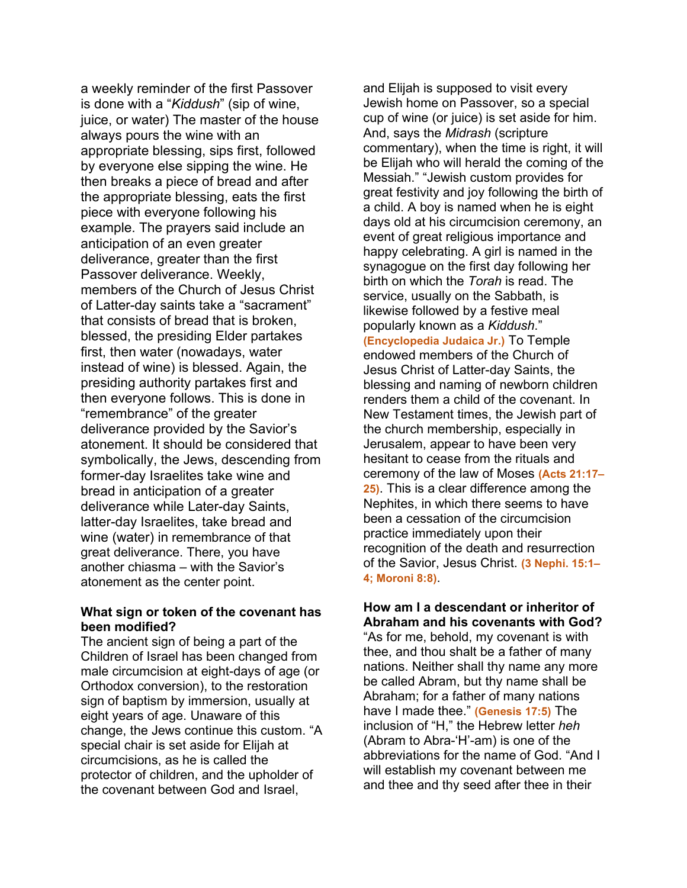a weekly reminder of the first Passover is done with a "*Kiddush*" (sip of wine, juice, or water) The master of the house always pours the wine with an appropriate blessing, sips first, followed by everyone else sipping the wine. He then breaks a piece of bread and after the appropriate blessing, eats the first piece with everyone following his example. The prayers said include an anticipation of an even greater deliverance, greater than the first Passover deliverance. Weekly, members of the Church of Jesus Christ of Latter-day saints take a "sacrament" that consists of bread that is broken, blessed, the presiding Elder partakes first, then water (nowadays, water instead of wine) is blessed. Again, the presiding authority partakes first and then everyone follows. This is done in "remembrance" of the greater deliverance provided by the Savior's atonement. It should be considered that symbolically, the Jews, descending from former-day Israelites take wine and bread in anticipation of a greater deliverance while Later-day Saints, latter-day Israelites, take bread and wine (water) in remembrance of that great deliverance. There, you have another chiasma – with the Savior's atonement as the center point.

## **What sign or token of the covenant has been modified?**

The ancient sign of being a part of the Children of Israel has been changed from male circumcision at eight-days of age (or Orthodox conversion), to the restoration sign of baptism by immersion, usually at eight years of age. Unaware of this change, the Jews continue this custom. "A special chair is set aside for Elijah at circumcisions, as he is called the protector of children, and the upholder of the covenant between God and Israel,

and Elijah is supposed to visit every Jewish home on Passover, so a special cup of wine (or juice) is set aside for him. And, says the *Midrash* (scripture commentary), when the time is right, it will be Elijah who will herald the coming of the Messiah." "Jewish custom provides for great festivity and joy following the birth of a child. A boy is named when he is eight days old at his circumcision ceremony, an event of great religious importance and happy celebrating. A girl is named in the synagogue on the first day following her birth on which the *Torah* is read. The service, usually on the Sabbath, is likewise followed by a festive meal popularly known as a *Kiddush*." **(Encyclopedia Judaica Jr.)** To Temple endowed members of the Church of Jesus Christ of Latter-day Saints, the blessing and naming of newborn children renders them a child of the covenant. In New Testament times, the Jewish part of the church membership, especially in Jerusalem, appear to have been very hesitant to cease from the rituals and ceremony of the law of Moses **(Acts 21:17– 25)**. This is a clear difference among the Nephites, in which there seems to have been a cessation of the circumcision practice immediately upon their recognition of the death and resurrection of the Savior, Jesus Christ. **(3 Nephi. 15:1– 4; Moroni 8:8)**.

## **How am I a descendant or inheritor of Abraham and his covenants with God?**

"As for me, behold, my covenant is with thee, and thou shalt be a father of many nations. Neither shall thy name any more be called Abram, but thy name shall be Abraham; for a father of many nations have I made thee." **(Genesis 17:5)** The inclusion of "H," the Hebrew letter *heh* (Abram to Abra-'H'-am) is one of the abbreviations for the name of God. "And I will establish my covenant between me and thee and thy seed after thee in their